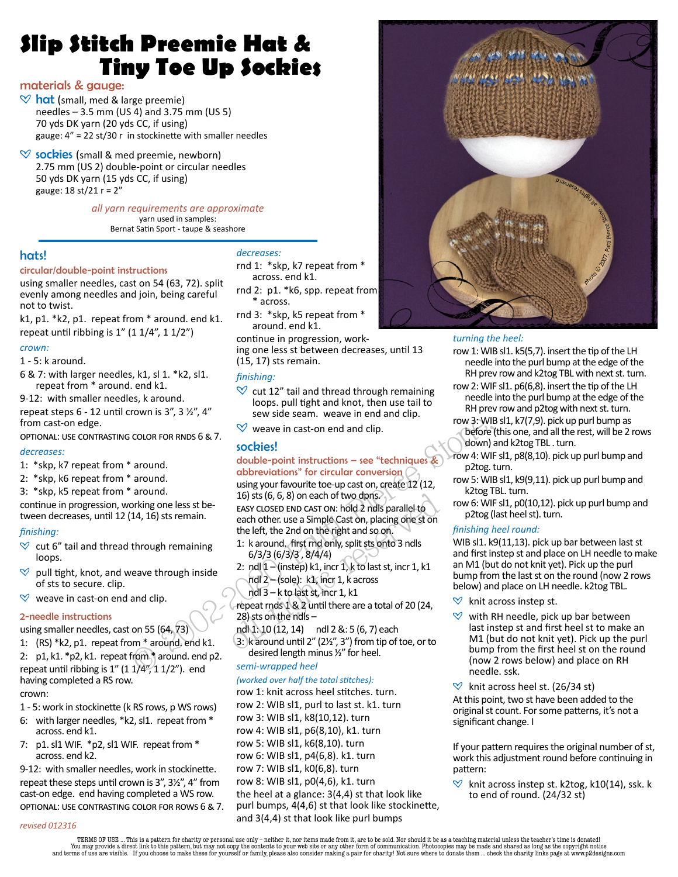# **Slip Stitch Preemie Hat & Tiny Toe Up Sockies**

## materials & gauge:

- $\heartsuit$  hat (small, med & large preemie) needles – 3.5 mm (US 4) and 3.75 mm (US 5) 70 yds DK yarn (20 yds CC, if using) gauge:  $4'' = 22$  st/30 r in stockinette with smaller needles
- $\heartsuit$  sockies (small & med preemie, newborn) 2.75 mm (US 2) double-point or circular needles 50 yds DK yarn (15 yds CC, if using) gauge: 18 st/21 r = 2"

*all yarn requirements are approximate* yarn used in samples: Bernat Satin Sport - taupe & seashore

## hats!

#### circular/double-point instructions

using smaller needles, cast on 54 (63, 72). split evenly among needles and join, being careful not to twist.

k1, p1. \*k2, p1. repeat from \* around. end k1. repeat until ribbing is  $1''$  (1  $1/4''$ , 1  $1/2''$ )

#### *crown:*

1 - 5: k around.

- 6 & 7: with larger needles, k1, sl 1. \*k2, sl1. repeat from \* around. end k1.
- 9-12: with smaller needles, k around.

repeat steps  $6 - 12$  until crown is 3", 3  $\frac{1}{2}$ ", 4" from cast-on edge.

OPTIONAL: USE CONTRASTING COLOR FOR RNDS 6 & 7.

#### *decreases:*

- 1: \*skp, k7 repeat from \* around.
- 2: \*skp, k6 repeat from \* around.
- 3: \*skp, k5 repeat from \* around.

continue in progression, working one less st between decreases, until 12 (14, 16) sts remain.

#### *fi nishing:*

- $\heartsuit$  cut 6" tail and thread through remaining loops.
- $\heartsuit$  pull tight, knot, and weave through inside of sts to secure. clip.
- $\heartsuit$  weave in cast-on end and clip.

#### 2-needle instructions

using smaller needles, cast on 55 (64, 73)

1: (RS) \*k2, p1. repeat from \* around. end k1. 2: p1, k1. \*p2, k1. repeat from \* around. end p2. repeat until ribbing is  $1''$  (1  $1/4''$ , 1  $1/2''$ ). end having completed a RS row. crown:

## 1 - 5: work in stockinette (k RS rows, p WS rows)

- 6: with larger needles, \*k2, sl1. repeat from \*
- across. end k1. 7: p1. sl1 WIF. \*p2, sl1 WIF. repeat from \* across. end k2.

9-12: with smaller needles, work in stockinette. repeat these steps until crown is  $3''$ ,  $3\frac{1}{2}$ ,  $4''$  from cast-on edge. end having completed a WS row. OPTIONAL: USE CONTRASTING COLOR FOR ROWS 6 & 7.

#### *decreases:*

rnd 1: \*skp, k7 repeat from \* across. end k1.

- rnd 2: p1. \*k6, spp. repeat from \* across.
- rnd 3: \*skp, k5 repeat from \* around. end k1.

continue in progression, working one less st between decreases, until 13 (15, 17) sts remain.

#### *fi nishing:*

- $\heartsuit$  cut 12" tail and thread through remaining loops. pull tight and knot, then use tail to sew side seam. weave in end and clip.
- $\heartsuit$  weave in cast-on end and clip.

#### sockies!

#### double-point instructions – see "techniques & abbreviations" for circular conversion (

COLOR FOR RNDS 6 & 7.<br>
Sockies!<br>
around.<br>
around.<br>
around.<br>
around.<br>
around.<br>
around.<br>
around.<br>
around.<br>
around.<br>
around.<br>
around.<br>
around.<br>
around.<br>
around.<br>
around.<br>
around.<br>
around.<br>
around.<br>
around.<br>
around.<br>
around.<br> 16) sts (6, 6, 8) on each of two dpns.<br>
EASY CLOSED END CAST ON: hold 2 ndls parallel to<br>
each other. use a Simple Cast on, placing one st on<br>
the left, the 2nd on the right and so on.<br>
1: k around, first rmd only, split using your favourite toe-up cast on, create 12 (12, 16) sts (6, 6, 8) on each of two dpns. EASY CLOSED END CAST ON: hold 2 ndls parallel to each other. use a Simple Cast on, placing one st on the left, the 2nd on the right and so on.

- 1: k around. first rnd only, split sts onto 3 ndls 6/3/3 (6/3/3 , 8/4/4)
- 2: ndl  $1 -$ (instep) k1, incr 1, k to last st, incr 1, k1 ndl 2 – (sole): k1, incr 1, k across
- ndl 3 k to last st, incr 1, k1
- repeat rnds 1 & 2 until there are a total of 20 (24, 28) sts on the ndls –

ndl 1: 10 (12, 14) ndl 2 &: 5 (6, 7) each

3:  $k$  around until 2" (2½", 3") from tip of toe, or to desired length minus ½" for heel.

*semi-wrapped heel* 

#### *(worked over half the total stitches):*

row 1: knit across heel stitches. turn. row 2: WIB sl1, purl to last st. k1. turn row 3: WIB sl1, k8(10,12). turn row 4: WIB sl1, p6(8,10), k1. turn row 5: WIB sl1, k6(8,10). turn row 6: WIB sl1, p4(6,8). k1. turn row 7: WIB sl1, k0(6,8). turn row 8: WIB sl1, p0(4,6), k1. turn the heel at a glance: 3(4,4) st that look like purl bumps,  $4(4,6)$  st that look like stockinette, and 3(4,4) st that look like purl bumps



#### *turning the heel:*

- row 1: WIB sl1. k5(5.7). insert the tip of the LH needle into the purl bump at the edge of the RH prev row and k2tog TBL with next st. turn.
- row 2: WIF sl1, p6(6.8), insert the tip of the LH needle into the purl bump at the edge of the RH prev row and p2tog with next st. turn.
- row 3: WIB sl1, k7(7,9). pick up purl bump as before (this one, and all the rest, will be 2 rows down) and k2tog TBL . turn.
- row 4: WIF sl1, p8(8,10). pick up purl bump and p2tog. turn.
- row 5: WIB sl1, k9(9,11). pick up purl bump and k2tog TBL. turn.
- row 6: WIF sl1, p0(10,12). pick up purl bump and p2tog (last heel st). turn.

#### *fi nishing heel round:*

WIB sl1. k9(11,13). pick up bar between last st and first instep st and place on LH needle to make an M1 (but do not knit yet). Pick up the purl bump from the last st on the round (now 2 rows below) and place on LH needle. k2tog TBL.

- $\heartsuit$  knit across instep st.
- $\heartsuit$  with RH needle, pick up bar between last instep st and first heel st to make an M1 (but do not knit yet). Pick up the purl bump from the first heel st on the round (now 2 rows below) and place on RH needle. ssk.
- $\heartsuit$  knit across heel st. (26/34 st) At this point, two st have been added to the original st count. For some patterns, it's not a significant change. I

If your pattern requires the original number of st, work this adjustment round before continuing in pattern:

 $\heartsuit$  knit across instep st. k2tog, k10(14), ssk. k to end of round. (24/32 st)

*revised 012316*

TERMS OF USE ... This is a pattern for charity or personal use only – neither it, nor items made from it, are to be sold. Nor should it be as a teaching material unless the teacher's time is donated!<br>You may not copy the c